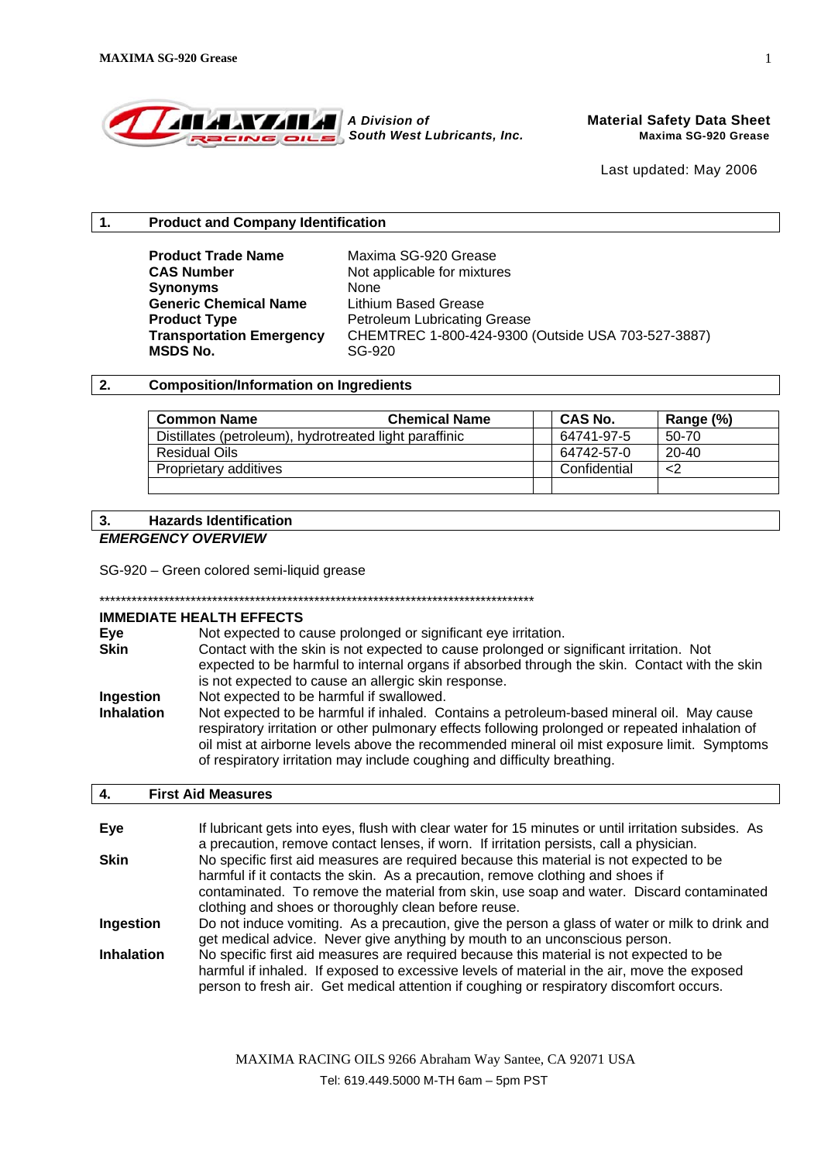

### **1. Product and Company Identification**

**Product Trade Name** Maxima SG-920 Grease **CAS Number** Not applicable for mixtures **Synonyms** None **Generic Chemical Name** Lithium Based Grease **MSDS No.** SG-920

**Product Type** Petroleum Lubricating Grease **Transportation Emergency** CHEMTREC 1-800-424-9300 (Outside USA 703-527-3887)

## **2. Composition/Information on Ingredients**

| <b>Common Name</b>                                     | <b>Chemical Name</b> | <b>CAS No.</b> | Range (%) |
|--------------------------------------------------------|----------------------|----------------|-----------|
| Distillates (petroleum), hydrotreated light paraffinic |                      | 64741-97-5     | 50-70     |
| Residual Oils                                          |                      | 64742-57-0     | $20 - 40$ |
| Proprietary additives                                  |                      | Confidential   | <2        |
|                                                        |                      |                |           |

## **3. Hazards Identification**

#### *EMERGENCY OVERVIEW*

SG-920 – Green colored semi-liquid grease

\*\*\*\*\*\*\*\*\*\*\*\*\*\*\*\*\*\*\*\*\*\*\*\*\*\*\*\*\*\*\*\*\*\*\*\*\*\*\*\*\*\*\*\*\*\*\*\*\*\*\*\*\*\*\*\*\*\*\*\*\*\*\*\*\*\*\*\*\*\*\*\*\*\*\*\*\*\*\*\*\*

#### **IMMEDIATE HEALTH EFFECTS**

| Eye<br><b>Skin</b> | Not expected to cause prolonged or significant eye irritation.<br>Contact with the skin is not expected to cause prolonged or significant irritation. Not<br>expected to be harmful to internal organs if absorbed through the skin. Contact with the skin                                                                                                             |
|--------------------|------------------------------------------------------------------------------------------------------------------------------------------------------------------------------------------------------------------------------------------------------------------------------------------------------------------------------------------------------------------------|
| Ingestion          | is not expected to cause an allergic skin response.<br>Not expected to be harmful if swallowed.                                                                                                                                                                                                                                                                        |
| <b>Inhalation</b>  | Not expected to be harmful if inhaled. Contains a petroleum-based mineral oil. May cause<br>respiratory irritation or other pulmonary effects following prolonged or repeated inhalation of<br>oil mist at airborne levels above the recommended mineral oil mist exposure limit. Symptoms<br>of respiratory irritation may include coughing and difficulty breathing. |

#### **4. First Aid Measures**

| Eye               | If lubricant gets into eyes, flush with clear water for 15 minutes or until irritation subsides. As<br>a precaution, remove contact lenses, if worn. If irritation persists, call a physician.                                                                                     |
|-------------------|------------------------------------------------------------------------------------------------------------------------------------------------------------------------------------------------------------------------------------------------------------------------------------|
| <b>Skin</b>       | No specific first aid measures are required because this material is not expected to be<br>harmful if it contacts the skin. As a precaution, remove clothing and shoes if                                                                                                          |
|                   | contaminated. To remove the material from skin, use soap and water. Discard contaminated<br>clothing and shoes or thoroughly clean before reuse.                                                                                                                                   |
| Ingestion         | Do not induce vomiting. As a precaution, give the person a glass of water or milk to drink and<br>get medical advice. Never give anything by mouth to an unconscious person.                                                                                                       |
| <b>Inhalation</b> | No specific first aid measures are required because this material is not expected to be<br>harmful if inhaled. If exposed to excessive levels of material in the air, move the exposed<br>person to fresh air. Get medical attention if coughing or respiratory discomfort occurs. |

MAXIMA RACING OILS 9266 Abraham Way Santee, CA 92071 USA

Tel: 619.449.5000 M-TH 6am – 5pm PST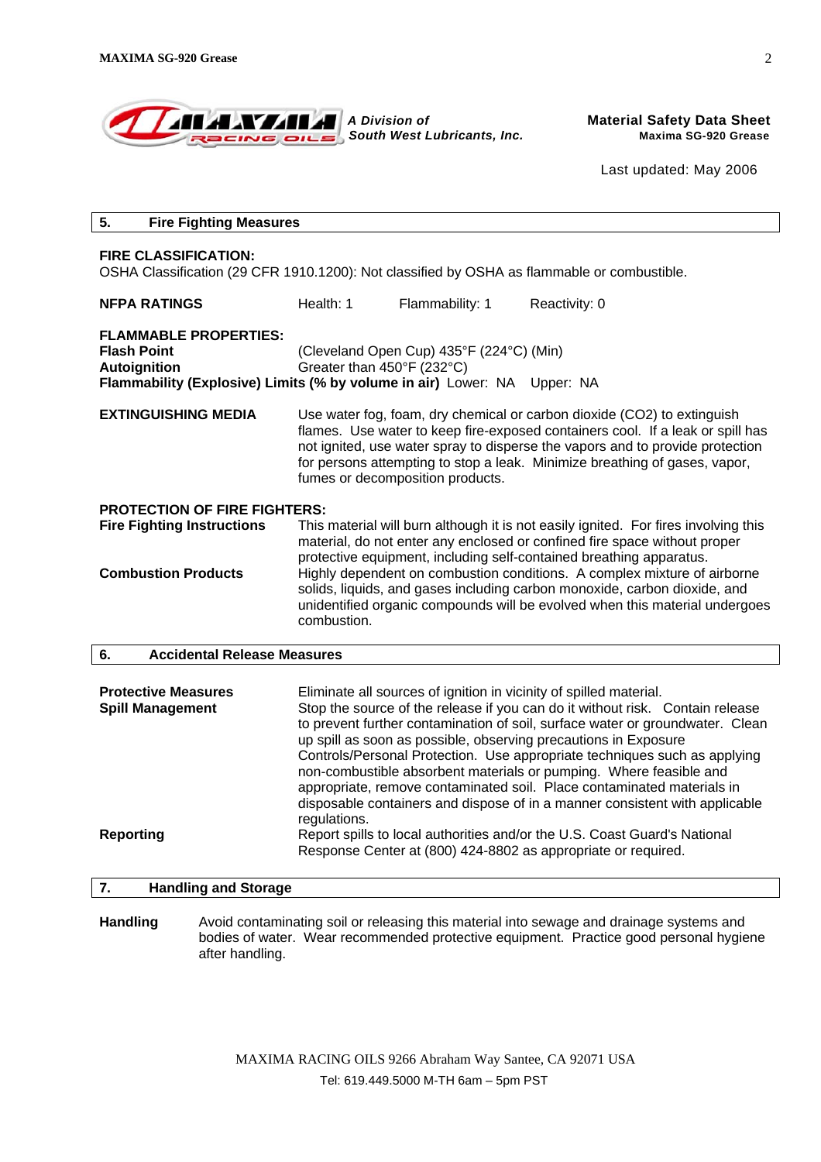| <b>ALLANTAR A Division of</b><br>Racing oils South West Lubricants, Inc. |  |
|--------------------------------------------------------------------------|--|
|--------------------------------------------------------------------------|--|

**Material Safety Data Sheet**  *South West Lubricants, Inc.* **Maxima SG-920 Grease**

Last updated: May 2006

| 5.<br><b>Fire Fighting Measures</b>                                                                                                                                                                                                                                                                                                                                                                                                                                                                                                                                                                                                                                                                                                                                                                                                                            |                                                                                                                                                                                                                                                                                                                                                              |                 |                                                                                          |  |
|----------------------------------------------------------------------------------------------------------------------------------------------------------------------------------------------------------------------------------------------------------------------------------------------------------------------------------------------------------------------------------------------------------------------------------------------------------------------------------------------------------------------------------------------------------------------------------------------------------------------------------------------------------------------------------------------------------------------------------------------------------------------------------------------------------------------------------------------------------------|--------------------------------------------------------------------------------------------------------------------------------------------------------------------------------------------------------------------------------------------------------------------------------------------------------------------------------------------------------------|-----------------|------------------------------------------------------------------------------------------|--|
| <b>FIRE CLASSIFICATION:</b><br>OSHA Classification (29 CFR 1910.1200): Not classified by OSHA as flammable or combustible.                                                                                                                                                                                                                                                                                                                                                                                                                                                                                                                                                                                                                                                                                                                                     |                                                                                                                                                                                                                                                                                                                                                              |                 |                                                                                          |  |
| <b>NFPA RATINGS</b>                                                                                                                                                                                                                                                                                                                                                                                                                                                                                                                                                                                                                                                                                                                                                                                                                                            | Health: 1                                                                                                                                                                                                                                                                                                                                                    | Flammability: 1 | Reactivity: 0                                                                            |  |
| <b>FLAMMABLE PROPERTIES:</b><br><b>Flash Point</b><br><b>Autoignition</b>                                                                                                                                                                                                                                                                                                                                                                                                                                                                                                                                                                                                                                                                                                                                                                                      | (Cleveland Open Cup) 435°F (224°C) (Min)<br>Greater than 450°F (232°C)<br>Flammability (Explosive) Limits (% by volume in air) Lower: NA Upper: NA                                                                                                                                                                                                           |                 |                                                                                          |  |
| <b>EXTINGUISHING MEDIA</b>                                                                                                                                                                                                                                                                                                                                                                                                                                                                                                                                                                                                                                                                                                                                                                                                                                     | Use water fog, foam, dry chemical or carbon dioxide (CO2) to extinguish<br>flames. Use water to keep fire-exposed containers cool. If a leak or spill has<br>not ignited, use water spray to disperse the vapors and to provide protection<br>for persons attempting to stop a leak. Minimize breathing of gases, vapor,<br>fumes or decomposition products. |                 |                                                                                          |  |
| <b>PROTECTION OF FIRE FIGHTERS:</b>                                                                                                                                                                                                                                                                                                                                                                                                                                                                                                                                                                                                                                                                                                                                                                                                                            |                                                                                                                                                                                                                                                                                                                                                              |                 |                                                                                          |  |
| <b>Fire Fighting Instructions</b>                                                                                                                                                                                                                                                                                                                                                                                                                                                                                                                                                                                                                                                                                                                                                                                                                              | This material will burn although it is not easily ignited. For fires involving this<br>material, do not enter any enclosed or confined fire space without proper<br>protective equipment, including self-contained breathing apparatus.                                                                                                                      |                 |                                                                                          |  |
| <b>Combustion Products</b>                                                                                                                                                                                                                                                                                                                                                                                                                                                                                                                                                                                                                                                                                                                                                                                                                                     | Highly dependent on combustion conditions. A complex mixture of airborne<br>solids, liquids, and gases including carbon monoxide, carbon dioxide, and<br>unidentified organic compounds will be evolved when this material undergoes<br>combustion.                                                                                                          |                 |                                                                                          |  |
| <b>Accidental Release Measures</b><br>6.                                                                                                                                                                                                                                                                                                                                                                                                                                                                                                                                                                                                                                                                                                                                                                                                                       |                                                                                                                                                                                                                                                                                                                                                              |                 |                                                                                          |  |
| <b>Protective Measures</b><br>Eliminate all sources of ignition in vicinity of spilled material.<br>Stop the source of the release if you can do it without risk. Contain release<br><b>Spill Management</b><br>to prevent further contamination of soil, surface water or groundwater. Clean<br>up spill as soon as possible, observing precautions in Exposure<br>Controls/Personal Protection. Use appropriate techniques such as applying<br>non-combustible absorbent materials or pumping. Where feasible and<br>appropriate, remove contaminated soil. Place contaminated materials in<br>disposable containers and dispose of in a manner consistent with applicable<br>regulations.<br><b>Reporting</b><br>Report spills to local authorities and/or the U.S. Coast Guard's National<br>Response Center at (800) 424-8802 as appropriate or required. |                                                                                                                                                                                                                                                                                                                                                              |                 |                                                                                          |  |
| 7.<br><b>Handling and Storage</b>                                                                                                                                                                                                                                                                                                                                                                                                                                                                                                                                                                                                                                                                                                                                                                                                                              |                                                                                                                                                                                                                                                                                                                                                              |                 |                                                                                          |  |
| <b>Handling</b>                                                                                                                                                                                                                                                                                                                                                                                                                                                                                                                                                                                                                                                                                                                                                                                                                                                |                                                                                                                                                                                                                                                                                                                                                              |                 | Avoid contaminating soil or releasing this material into sewage and drainage systems and |  |

after handling.

bodies of water. Wear recommended protective equipment. Practice good personal hygiene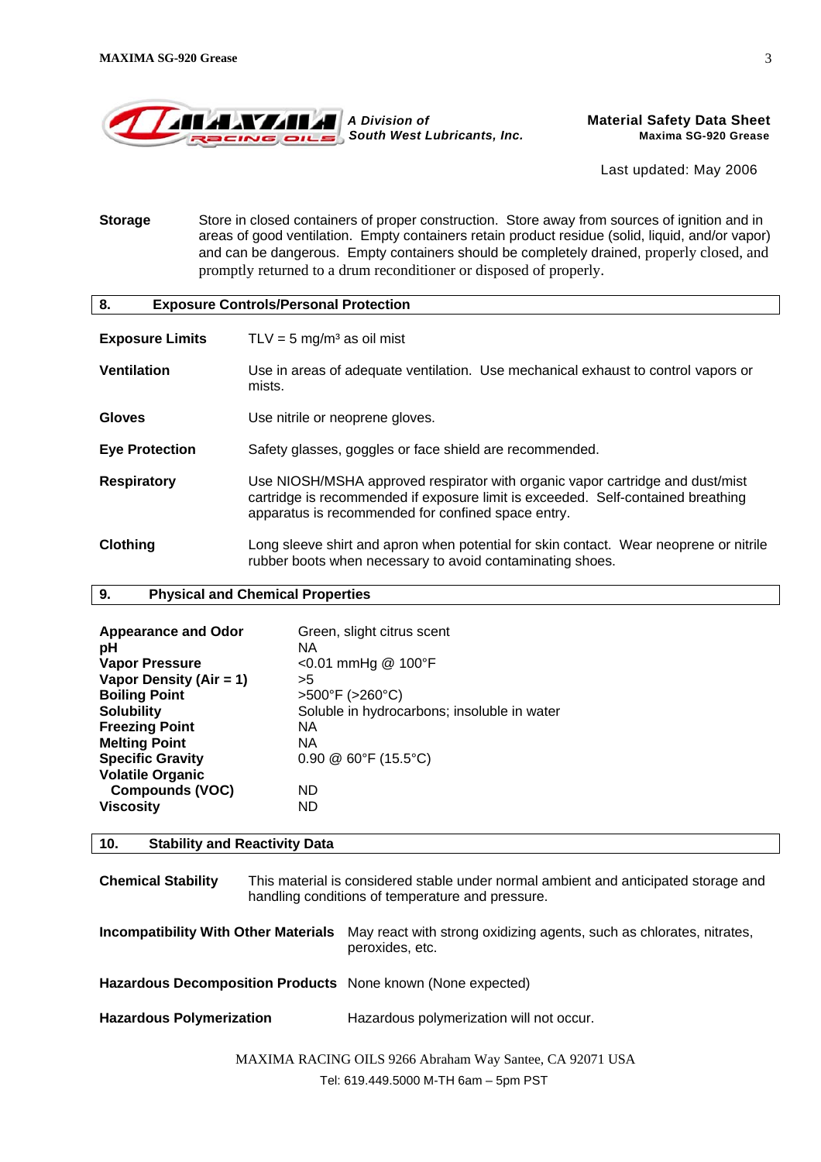

**Storage** Store in closed containers of proper construction. Store away from sources of ignition and in areas of good ventilation. Empty containers retain product residue (solid, liquid, and/or vapor) and can be dangerous. Empty containers should be completely drained, properly closed, and promptly returned to a drum reconditioner or disposed of properly.

| 8.<br><b>Exposure Controls/Personal Protection</b> |                                                                                                                                                                                                                         |  |  |  |
|----------------------------------------------------|-------------------------------------------------------------------------------------------------------------------------------------------------------------------------------------------------------------------------|--|--|--|
| <b>Exposure Limits</b>                             | TLV = $5 \text{ mg/m}^3$ as oil mist                                                                                                                                                                                    |  |  |  |
| <b>Ventilation</b>                                 | Use in areas of adequate ventilation. Use mechanical exhaust to control vapors or<br>mists.                                                                                                                             |  |  |  |
| <b>Gloves</b>                                      | Use nitrile or neoprene gloves.                                                                                                                                                                                         |  |  |  |
| <b>Eye Protection</b>                              | Safety glasses, goggles or face shield are recommended.                                                                                                                                                                 |  |  |  |
| <b>Respiratory</b>                                 | Use NIOSH/MSHA approved respirator with organic vapor cartridge and dust/mist<br>cartridge is recommended if exposure limit is exceeded. Self-contained breathing<br>apparatus is recommended for confined space entry. |  |  |  |
| Clothing                                           | Long sleeve shirt and apron when potential for skin contact. Wear neoprene or nitrile<br>rubber boots when necessary to avoid contaminating shoes.                                                                      |  |  |  |

## **9. Physical and Chemical Properties**

| <b>Appearance and Odor</b><br>рH | Green, slight citrus scent<br>NA.           |
|----------------------------------|---------------------------------------------|
| <b>Vapor Pressure</b>            | $<$ 0.01 mmHg @ 100°F                       |
| Vapor Density (Air = 1)          | >5                                          |
| <b>Boiling Point</b>             | $>500^{\circ}$ F ( $>260^{\circ}$ C)        |
| <b>Solubility</b>                | Soluble in hydrocarbons; insoluble in water |
| <b>Freezing Point</b>            | NA.                                         |
| <b>Melting Point</b>             | NA.                                         |
| <b>Specific Gravity</b>          | $0.90 \& 60^{\circ}F (15.5^{\circ}C)$       |
| <b>Volatile Organic</b>          |                                             |
| <b>Compounds (VOC)</b>           | ND                                          |
| <b>Viscosity</b>                 | ND.                                         |

## **10. Stability and Reactivity Data**

**Chemical Stability** This material is considered stable under normal ambient and anticipated storage and handling conditions of temperature and pressure.

**Incompatibility With Other Materials** May react with strong oxidizing agents, such as chlorates, nitrates, peroxides, etc.

**Hazardous Decomposition Products** None known (None expected)

Hazardous Polymerization **Hazardous polymerization will not occur.** 

MAXIMA RACING OILS 9266 Abraham Way Santee, CA 92071 USA

Tel: 619.449.5000 M-TH 6am – 5pm PST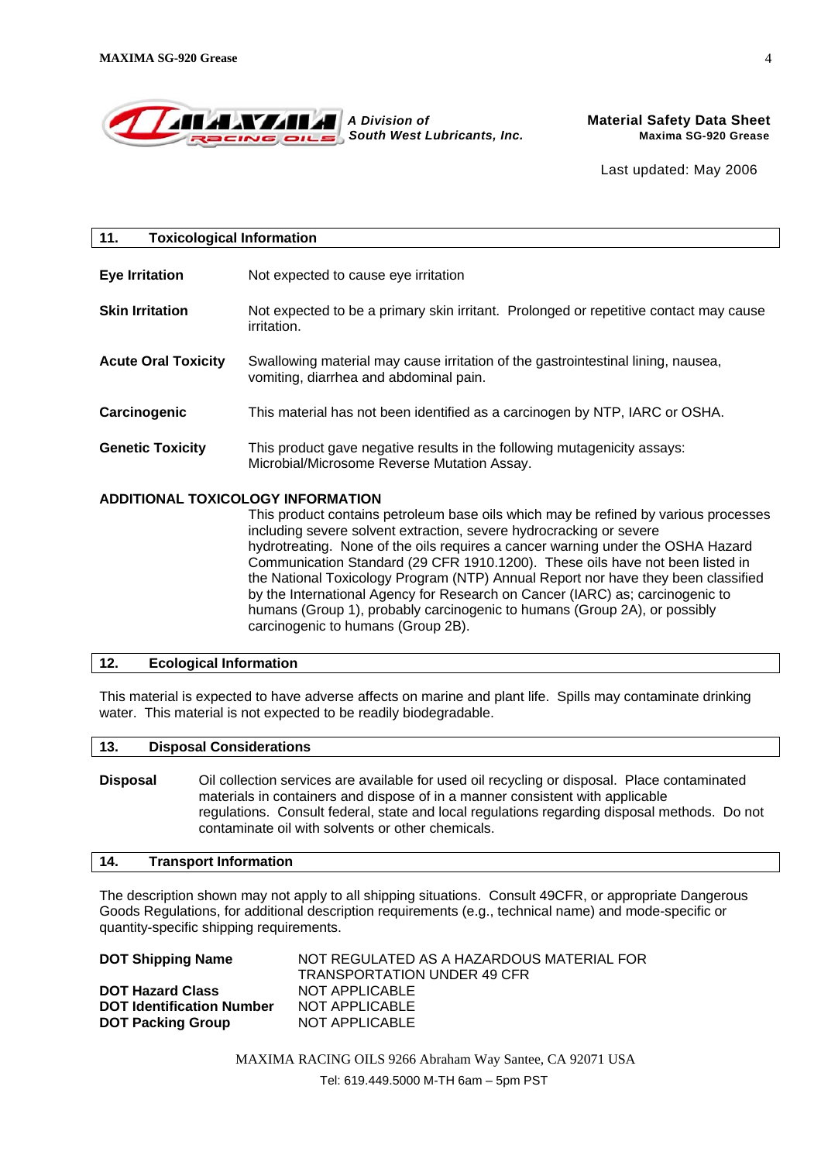

| 11.                               | <b>Toxicological Information</b>                                                                                                                          |  |  |
|-----------------------------------|-----------------------------------------------------------------------------------------------------------------------------------------------------------|--|--|
| <b>Eye Irritation</b>             | Not expected to cause eye irritation                                                                                                                      |  |  |
| <b>Skin Irritation</b>            | Not expected to be a primary skin irritant. Prolonged or repetitive contact may cause<br><i>irritation.</i>                                               |  |  |
| <b>Acute Oral Toxicity</b>        | Swallowing material may cause irritation of the gastrointestinal lining, nausea,<br>vomiting, diarrhea and abdominal pain.                                |  |  |
| Carcinogenic                      | This material has not been identified as a carcinogen by NTP, IARC or OSHA.                                                                               |  |  |
| <b>Genetic Toxicity</b>           | This product gave negative results in the following mutagenicity assays:<br>Microbial/Microsome Reverse Mutation Assay.                                   |  |  |
| ADDITIONAL TOXICOLOGY INFORMATION | This product contains petroleum base oils which may be refined by various processes<br>including severe solvent extraction severe hydrocracking or severe |  |  |

including severe solvent extraction, severe hydrocracking or severe hydrotreating. None of the oils requires a cancer warning under the OSHA Hazard Communication Standard (29 CFR 1910.1200). These oils have not been listed in the National Toxicology Program (NTP) Annual Report nor have they been classified by the International Agency for Research on Cancer (IARC) as; carcinogenic to humans (Group 1), probably carcinogenic to humans (Group 2A), or possibly carcinogenic to humans (Group 2B).

# **12. Ecological Information**

This material is expected to have adverse affects on marine and plant life. Spills may contaminate drinking water. This material is not expected to be readily biodegradable.

#### **13. Disposal Considerations**

**Disposal** Oil collection services are available for used oil recycling or disposal. Place contaminated materials in containers and dispose of in a manner consistent with applicable regulations. Consult federal, state and local regulations regarding disposal methods. Do not contaminate oil with solvents or other chemicals.

#### **14. Transport Information**

The description shown may not apply to all shipping situations. Consult 49CFR, or appropriate Dangerous Goods Regulations, for additional description requirements (e.g., technical name) and mode-specific or quantity-specific shipping requirements.

| NOT REGULATED AS A HAZARDOUS MATERIAL FOR |
|-------------------------------------------|
| <b>TRANSPORTATION UNDER 49 CFR</b>        |
| NOT APPLICABLE                            |
| NOT APPLICABLE                            |
| NOT APPLICABLE                            |
|                                           |

MAXIMA RACING OILS 9266 Abraham Way Santee, CA 92071 USA Tel: 619.449.5000 M-TH 6am – 5pm PST